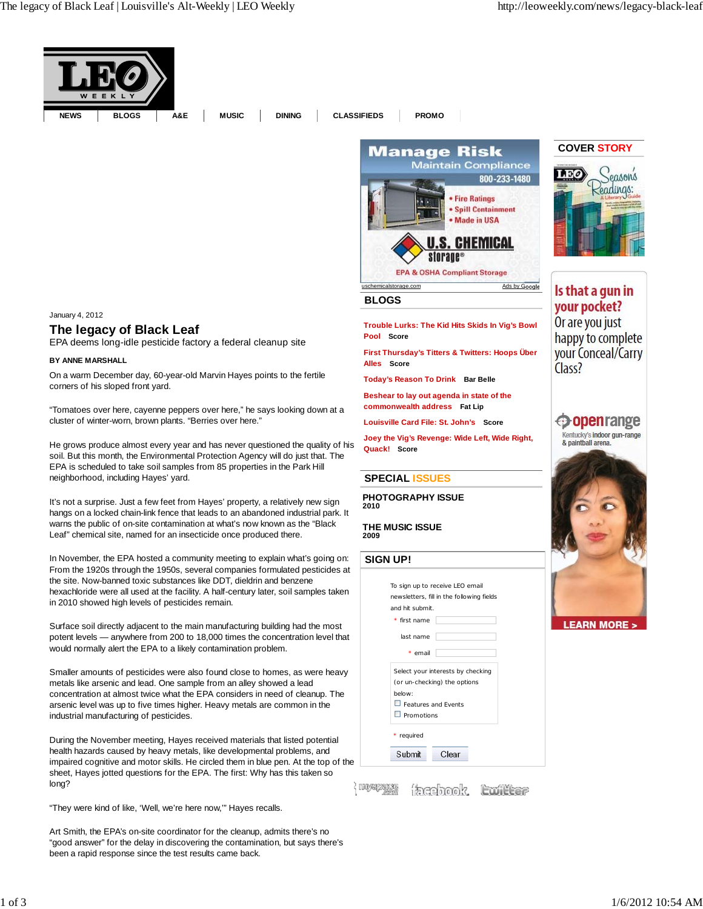

### January 4, 2012

## **The legacy of Black Leaf**

EPA deems long-idle pesticide factory a federal cleanup site

#### **BY ANNE MARSHALL**

On a warm December day, 60-year-old Marvin Hayes points to the fertile corners of his sloped front yard.

"Tomatoes over here, cayenne peppers over here," he says looking down at a cluster of winter-worn, brown plants. "Berries over here."

He grows produce almost every year and has never questioned the quality of his soil. But this month, the Environmental Protection Agency will do just that. The EPA is scheduled to take soil samples from 85 properties in the Park Hill neighborhood, including Hayes' yard.

It's not a surprise. Just a few feet from Hayes' property, a relatively new sign hangs on a locked chain-link fence that leads to an abandoned industrial park. It warns the public of on-site contamination at what's now known as the "Black Leaf" chemical site, named for an insecticide once produced there.

In November, the EPA hosted a community meeting to explain what's going on: From the 1920s through the 1950s, several companies formulated pesticides at the site. Now-banned toxic substances like DDT, dieldrin and benzene hexachloride were all used at the facility. A half-century later, soil samples taken in 2010 showed high levels of pesticides remain.

Surface soil directly adjacent to the main manufacturing building had the most potent levels — anywhere from 200 to 18,000 times the concentration level that would normally alert the EPA to a likely contamination problem.

Smaller amounts of pesticides were also found close to homes, as were heavy metals like arsenic and lead. One sample from an alley showed a lead concentration at almost twice what the EPA considers in need of cleanup. The arsenic level was up to five times higher. Heavy metals are common in the industrial manufacturing of pesticides.

During the November meeting, Hayes received materials that listed potential health hazards caused by heavy metals, like developmental problems, and impaired cognitive and motor skills. He circled them in blue pen. At the top of the sheet, Hayes jotted questions for the EPA. The first: Why has this taken so long?

"They were kind of like, 'Well, we're here now,'" Hayes recalls.

Art Smith, the EPA's on-site coordinator for the cleanup, admits there's no "good answer" for the delay in discovering the contamination, but says there's been a rapid response since the test results came back.



#### **BLOGS**

**Trouble Lurks: The Kid Hits Skids In Vig's Bowl Pool Score**

**First Thursday's Titters & Twitters: Hoops Über Alles Score**

**Today's Reason To Drink Bar Belle**

**Beshear to lay out agenda in state of the commonwealth address Fat Lip**

**Louisville Card File: St. John's Score**

**Joey the Vig's Revenge: Wide Left, Wide Right, Quack! Score**

### **SPECIAL ISSUES**

**PHOTOGRAPHY ISSUE 2010**

**THE MUSIC ISSUE 2009**

### **SIGN UP!**

|                            | To sign up to receive LEO email           |
|----------------------------|-------------------------------------------|
|                            | newsletters, fill in the following fields |
| and hit submit.            |                                           |
| * first name               |                                           |
| last name                  |                                           |
| * email                    |                                           |
|                            | Select your interests by checking         |
|                            | (or un-checking) the options              |
| below:                     |                                           |
| $\Box$ Features and Fvents |                                           |
| $\Box$ Promotions          |                                           |
| * required                 |                                           |
| Submit                     | Clear                                     |

{rowaparous tacebook, twitter

## **COVER STORY**



# Is that a gun in your pocket? Or are you just happy to complete your Conceal/Carry Class?

# **Openrange**

Kentucky's indoor gun-range & paintball arena.

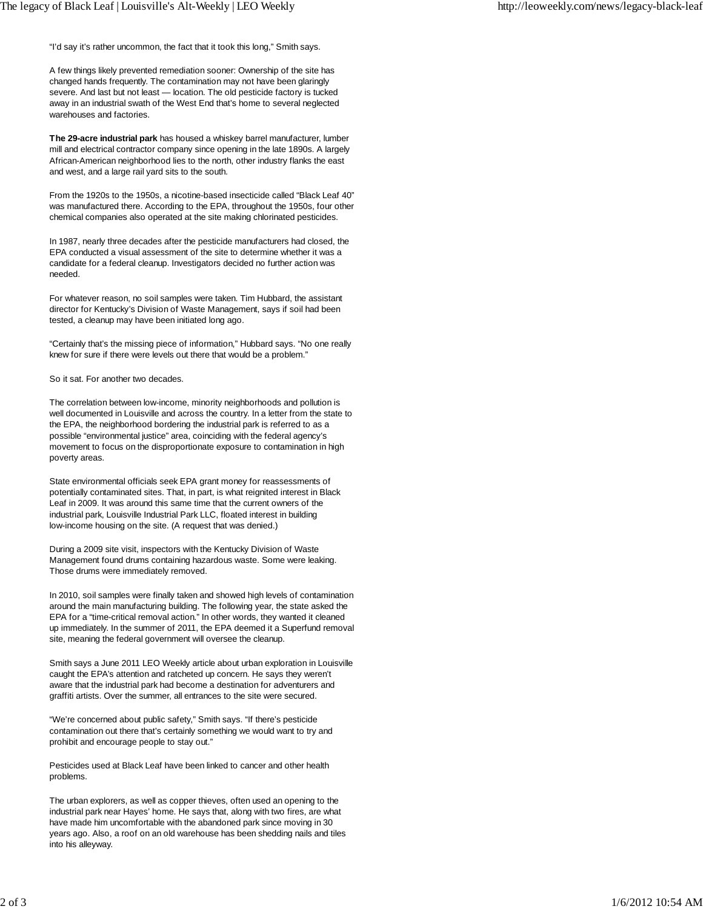"I'd say it's rather uncommon, the fact that it took this long," Smith says.

A few things likely prevented remediation sooner: Ownership of the site has changed hands frequently. The contamination may not have been glaringly severe. And last but not least — location. The old pesticide factory is tucked away in an industrial swath of the West End that's home to several neglected warehouses and factories.

**The 29-acre industrial park** has housed a whiskey barrel manufacturer, lumber mill and electrical contractor company since opening in the late 1890s. A largely African-American neighborhood lies to the north, other industry flanks the east and west, and a large rail yard sits to the south.

From the 1920s to the 1950s, a nicotine-based insecticide called "Black Leaf 40" was manufactured there. According to the EPA, throughout the 1950s, four other chemical companies also operated at the site making chlorinated pesticides.

In 1987, nearly three decades after the pesticide manufacturers had closed, the EPA conducted a visual assessment of the site to determine whether it was a candidate for a federal cleanup. Investigators decided no further action was needed.

For whatever reason, no soil samples were taken. Tim Hubbard, the assistant director for Kentucky's Division of Waste Management, says if soil had been tested, a cleanup may have been initiated long ago.

"Certainly that's the missing piece of information," Hubbard says. "No one really knew for sure if there were levels out there that would be a problem."

So it sat. For another two decades.

The correlation between low-income, minority neighborhoods and pollution is well documented in Louisville and across the country. In a letter from the state to the EPA, the neighborhood bordering the industrial park is referred to as a possible "environmental justice" area, coinciding with the federal agency's movement to focus on the disproportionate exposure to contamination in high poverty areas.

State environmental officials seek EPA grant money for reassessments of potentially contaminated sites. That, in part, is what reignited interest in Black Leaf in 2009. It was around this same time that the current owners of the industrial park, Louisville Industrial Park LLC, floated interest in building low-income housing on the site. (A request that was denied.)

During a 2009 site visit, inspectors with the Kentucky Division of Waste Management found drums containing hazardous waste. Some were leaking. Those drums were immediately removed.

In 2010, soil samples were finally taken and showed high levels of contamination around the main manufacturing building. The following year, the state asked the EPA for a "time-critical removal action." In other words, they wanted it cleaned up immediately. In the summer of 2011, the EPA deemed it a Superfund removal site, meaning the federal government will oversee the cleanup.

Smith says a June 2011 LEO Weekly article about urban exploration in Louisville caught the EPA's attention and ratcheted up concern. He says they weren't aware that the industrial park had become a destination for adventurers and graffiti artists. Over the summer, all entrances to the site were secured.

"We're concerned about public safety," Smith says. "If there's pesticide contamination out there that's certainly something we would want to try and prohibit and encourage people to stay out."

Pesticides used at Black Leaf have been linked to cancer and other health problems.

The urban explorers, as well as copper thieves, often used an opening to the industrial park near Hayes' home. He says that, along with two fires, are what have made him uncomfortable with the abandoned park since moving in 30 years ago. Also, a roof on an old warehouse has been shedding nails and tiles into his alleyway.